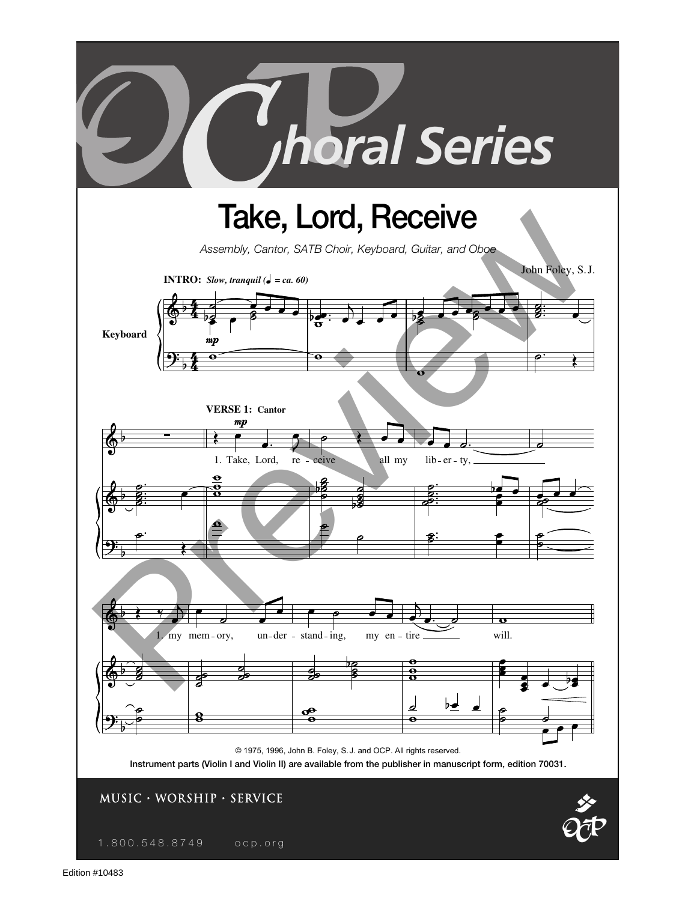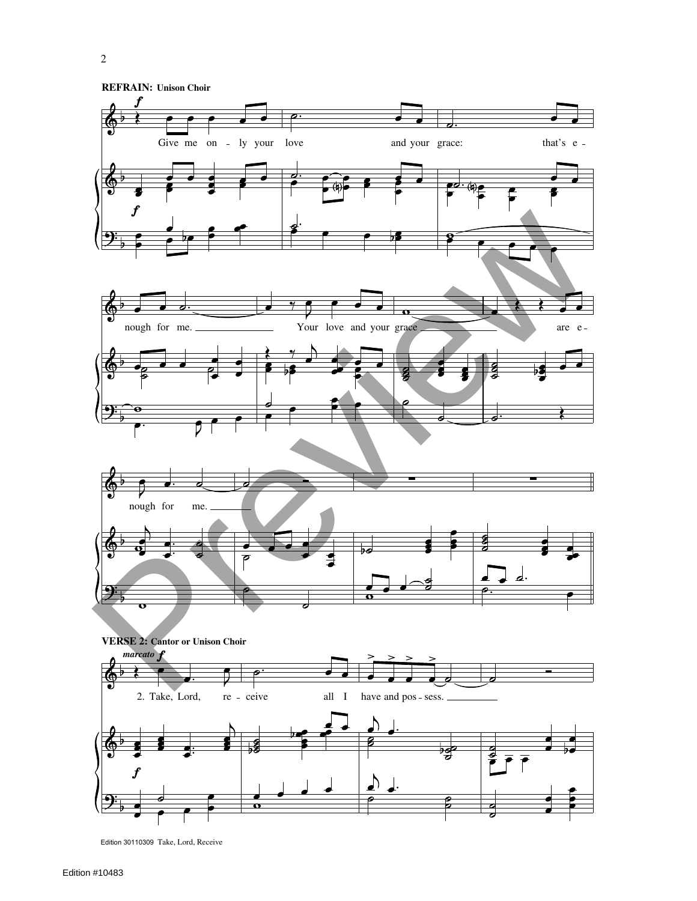

 $\blacktriangle$ 

Б

Edition 30110309 Take, Lord, Receive

 $\mathbf{o}$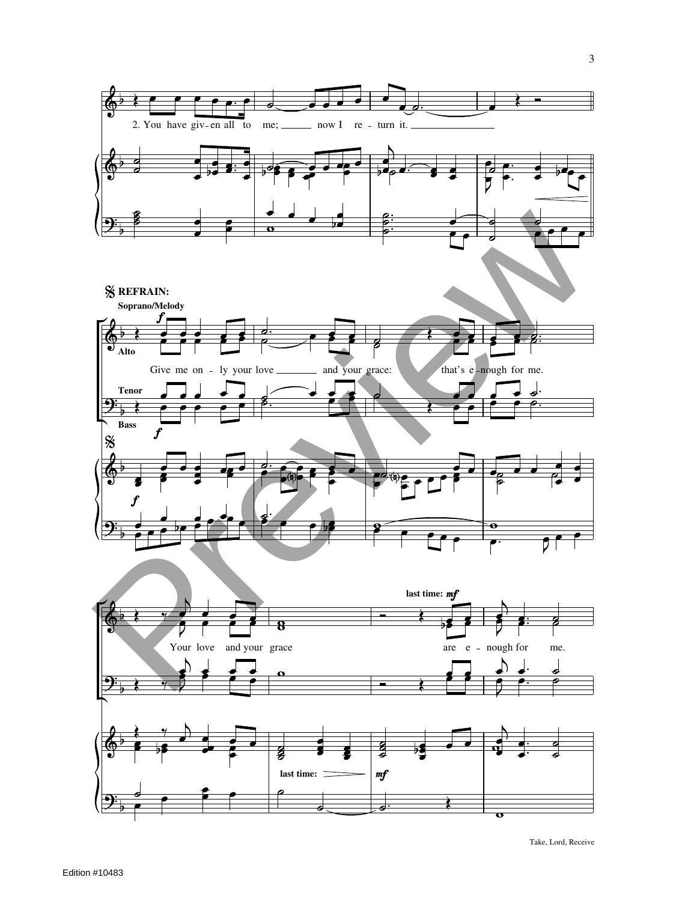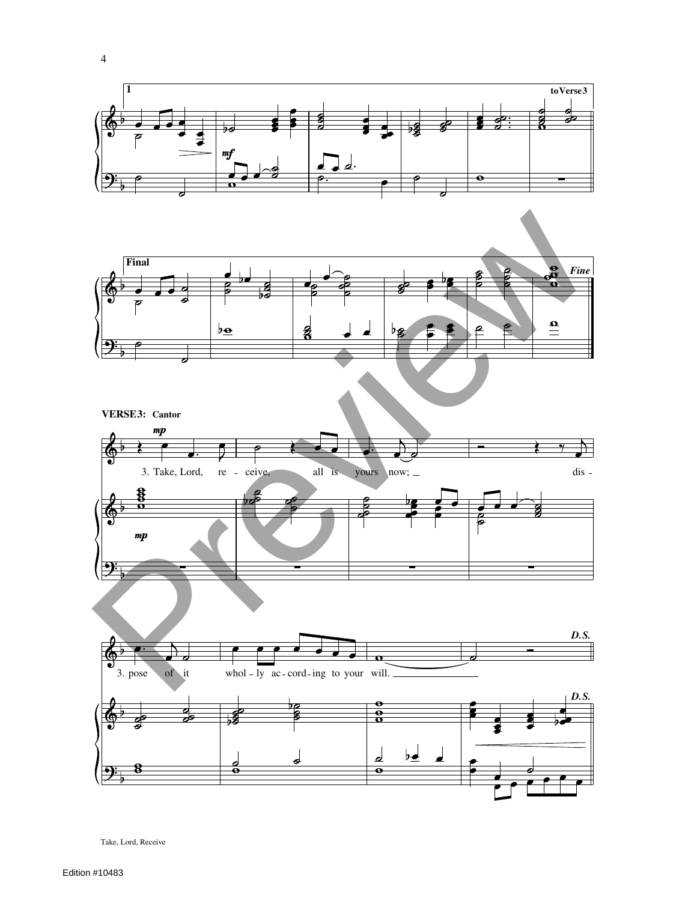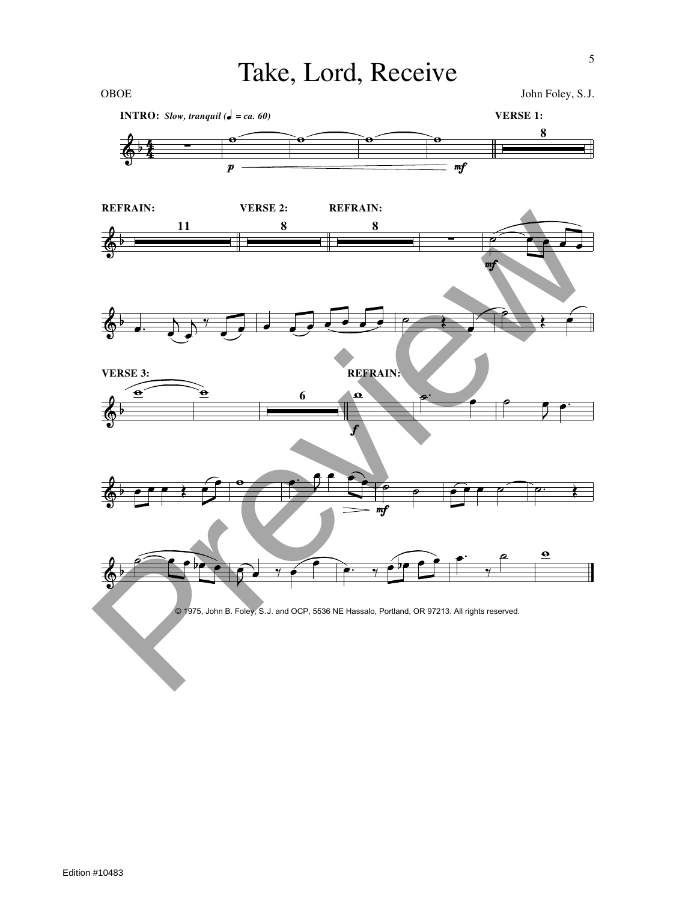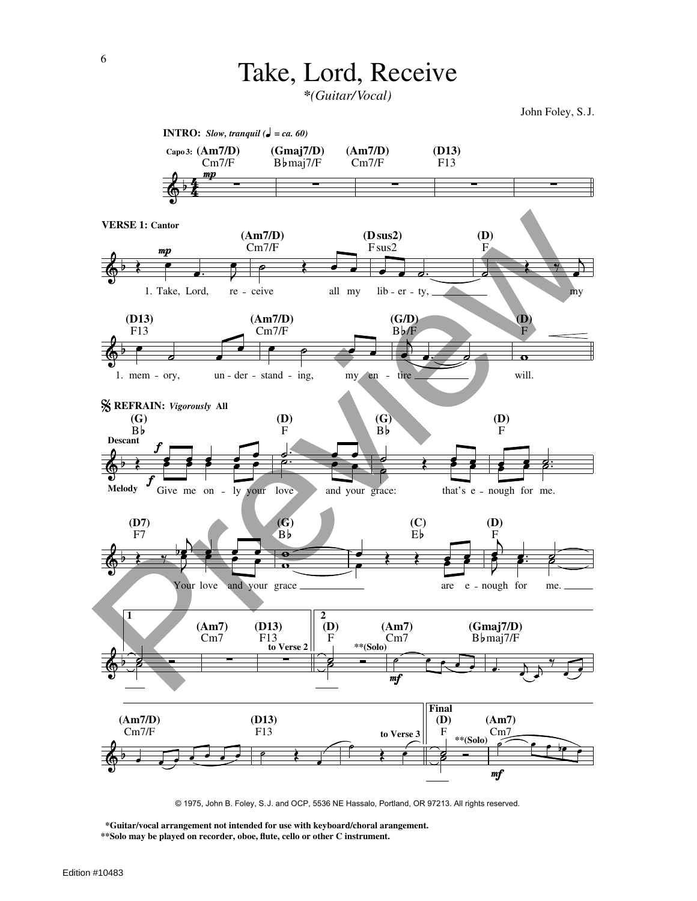*\*(Guitar/Vocal)*

John Foley, S. J.



© 1975, John B. Foley, S.J. and OCP, 5536 NE Hassalo, Portland, OR 97213. All rights reserved.

**\*Guitar/vocal arrangement not intended for use with keyboard/choral arangement. \*\*Solo may be played on recorder, oboe, flute, cello or other C instrument.**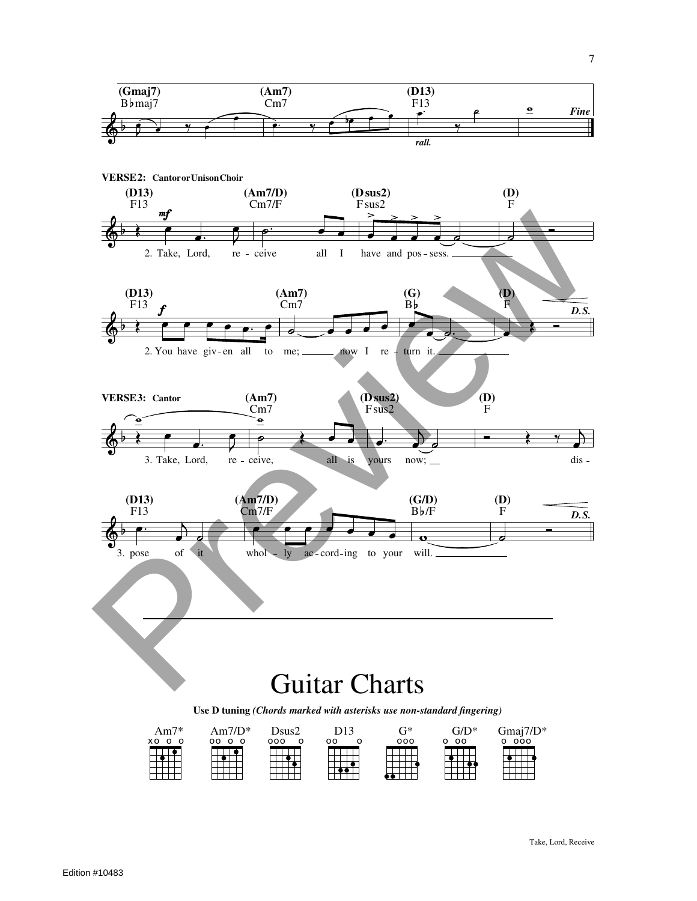